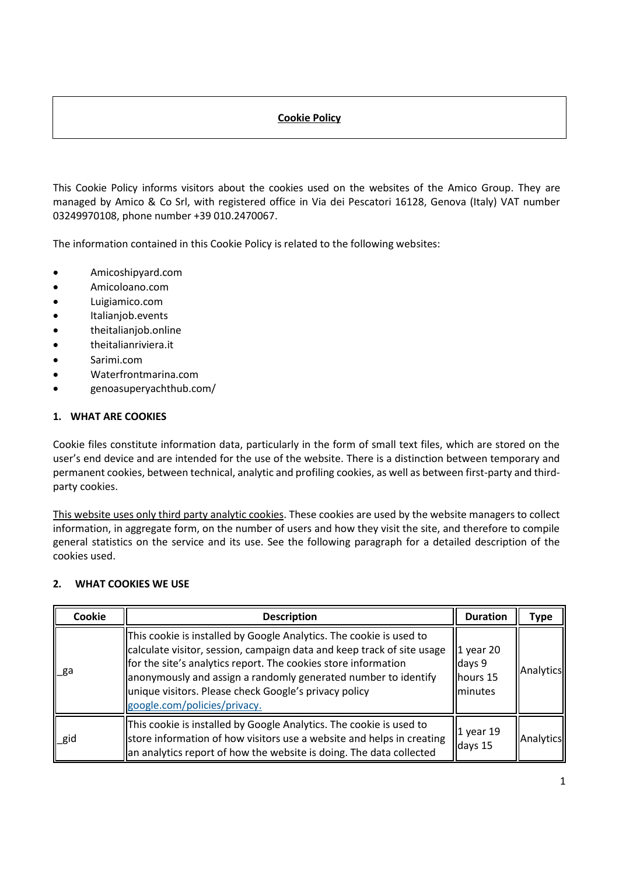# **Cookie Policy**

This Cookie Policy informs visitors about the cookies used on the websites of the Amico Group. They are managed by Amico & Co Srl, with registered office in Via dei Pescatori 16128, Genova (Italy) VAT number 03249970108, phone number +39 010.2470067.

The information contained in this Cookie Policy is related to the following websites:

- Amicoshipyard.com
- Amicoloano.com
- Luigiamico.com
- Italianjob.events
- theitalianjob.online
- theitalianriviera.it
- Sarimi.com
- Waterfrontmarina.com
- genoasuperyachthub.com/

#### **1. WHAT ARE COOKIES**

Cookie files constitute information data, particularly in the form of small text files, which are stored on the user's end device and are intended for the use of the website. There is a distinction between temporary and permanent cookies, between technical, analytic and profiling cookies, as well as between first-party and thirdparty cookies.

This website uses only third party analytic cookies. These cookies are used by the website managers to collect information, in aggregate form, on the number of users and how they visit the site, and therefore to compile general statistics on the service and its use. See the following paragraph for a detailed description of the cookies used.

#### **2. WHAT COOKIES WE USE**

| <b>Cookie</b> | <b>Description</b>                                                                                                                                                                                                                                                                                                                                                         | <b>Duration</b>                                      | Type      |
|---------------|----------------------------------------------------------------------------------------------------------------------------------------------------------------------------------------------------------------------------------------------------------------------------------------------------------------------------------------------------------------------------|------------------------------------------------------|-----------|
| ∟ga           | This cookie is installed by Google Analytics. The cookie is used to<br>calculate visitor, session, campaign data and keep track of site usage<br>for the site's analytics report. The cookies store information<br>anonymously and assign a randomly generated number to identify<br>unique visitors. Please check Google's privacy policy<br>google.com/policies/privacy. | $1$ year 20<br>days 9<br>hours 15<br><b>Iminutes</b> | Analytics |
| gid           | This cookie is installed by Google Analytics. The cookie is used to<br>store information of how visitors use a website and helps in creating<br>an analytics report of how the website is doing. The data collected                                                                                                                                                        | $1$ year 19<br>days 15                               | Analytics |